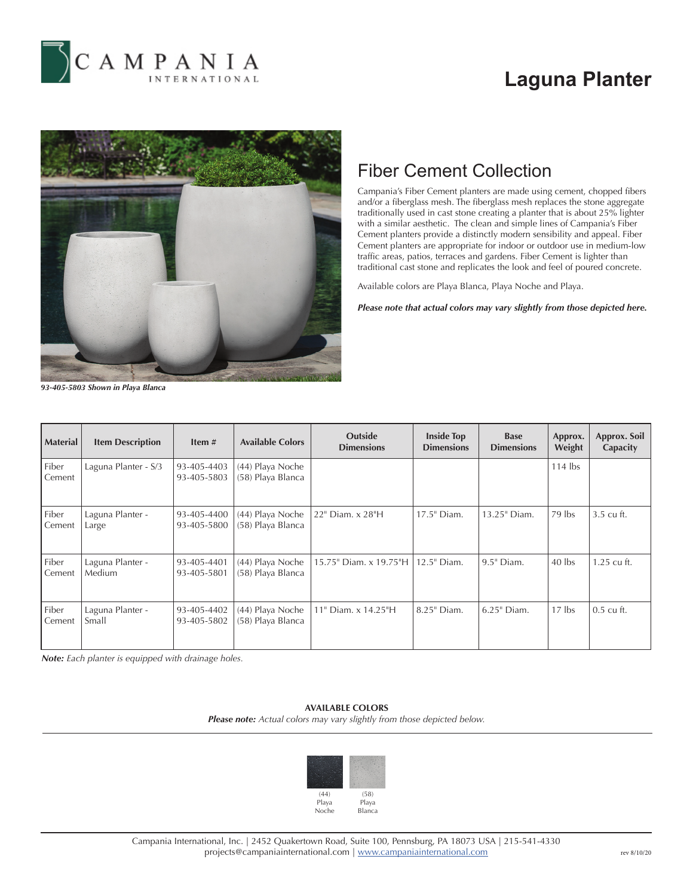

# **Laguna Planter**



## Fiber Cement Collection

Campania's Fiber Cement planters are made using cement, chopped fibers and/or a fiberglass mesh. The fiberglass mesh replaces the stone aggregate traditionally used in cast stone creating a planter that is about 25% lighter with a similar aesthetic. The clean and simple lines of Campania's Fiber Cement planters provide a distinctly modern sensibility and appeal. Fiber Cement planters are appropriate for indoor or outdoor use in medium-low traffic areas, patios, terraces and gardens. Fiber Cement is lighter than traditional cast stone and replicates the look and feel of poured concrete.

Available colors are Playa Blanca, Playa Noche and Playa.

*Please note that actual colors may vary slightly from those depicted here.*

*93-405-5803 Shown in Playa Blanca*

| <b>Material</b> | <b>Item Description</b>    | Item $#$                   | <b>Available Colors</b>               | <b>Outside</b><br><b>Dimensions</b> | <b>Inside Top</b><br><b>Dimensions</b> | <b>Base</b><br><b>Dimensions</b> | Approx.<br>Weight | Approx. Soil<br>Capacity |
|-----------------|----------------------------|----------------------------|---------------------------------------|-------------------------------------|----------------------------------------|----------------------------------|-------------------|--------------------------|
| Fiber<br>Cement | Laguna Planter - S/3       | 93-405-4403<br>93-405-5803 | (44) Playa Noche<br>(58) Playa Blanca |                                     |                                        |                                  | $114$ lbs         |                          |
| Fiber<br>Cement | Laguna Planter -<br>Large  | 93-405-4400<br>93-405-5800 | (44) Playa Noche<br>(58) Playa Blanca | 22" Diam. x 28"H                    | 17.5" Diam.                            | 13.25" Diam.                     | $79$ lbs          | 3.5 cu ft.               |
| Fiber<br>Cement | Laguna Planter -<br>Medium | 93-405-4401<br>93-405-5801 | (44) Playa Noche<br>(58) Playa Blanca | 15.75" Diam. x 19.75"H              | 12.5" Diam.                            | $9.5$ " Diam.                    | $40$ lbs          | $1.25$ cu ft.            |
| Fiber<br>Cement | Laguna Planter -<br>Small  | 93-405-4402<br>93-405-5802 | (44) Playa Noche<br>(58) Playa Blanca | 11" Diam. x 14.25"H                 | 8.25" Diam.                            | 6.25" Diam.                      | $17$ lbs          | $0.5$ cu ft.             |

*Note: Each planter is equipped with drainage holes.*

### **AVAILABLE COLORS**

*Please note: Actual colors may vary slightly from those depicted below.*